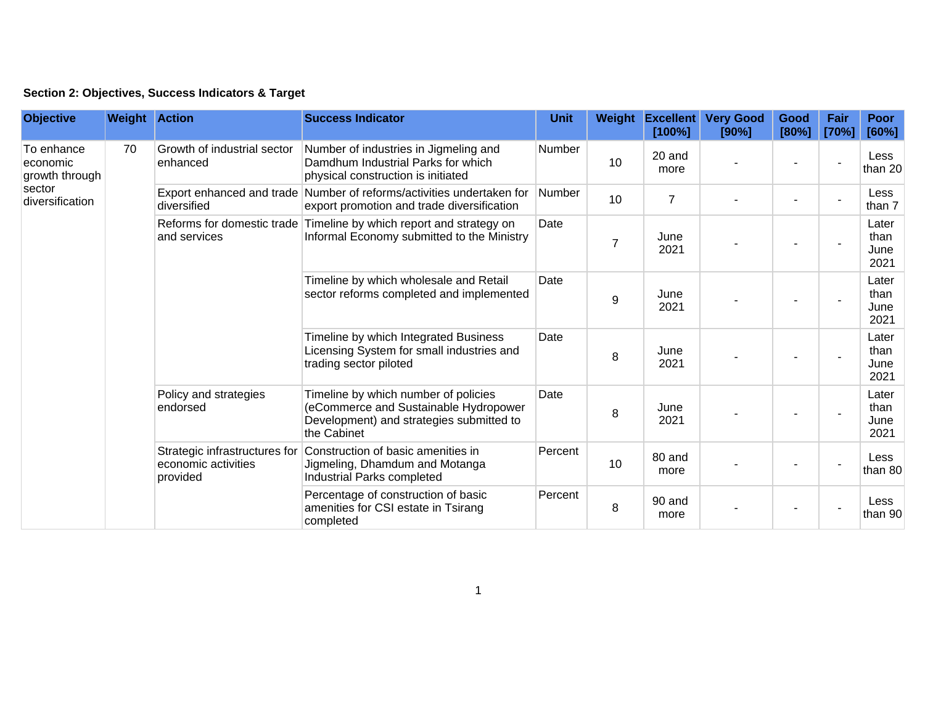| Section 2: Objectives, Success Indicators & Target |  |  |  |  |  |  |
|----------------------------------------------------|--|--|--|--|--|--|
|----------------------------------------------------|--|--|--|--|--|--|

| <b>Objective</b>                                                      | <b>Weight Action</b> |                                                                  | <b>Success Indicator</b>                                                                                                                 | <b>Unit</b>                                                                                                         | Weight         | <b>Excellent</b><br>[100%] | <b>Very Good</b><br>[90%] | Good<br>[80%] | Fair<br>[70%] | <b>Poor</b><br>[60%]          |                |
|-----------------------------------------------------------------------|----------------------|------------------------------------------------------------------|------------------------------------------------------------------------------------------------------------------------------------------|---------------------------------------------------------------------------------------------------------------------|----------------|----------------------------|---------------------------|---------------|---------------|-------------------------------|----------------|
| To enhance<br>economic<br>growth through<br>sector<br>diversification | 70                   | Growth of industrial sector<br>enhanced                          | Number of industries in Jigmeling and<br>Damdhum Industrial Parks for which<br>physical construction is initiated                        | Number                                                                                                              | 10             | 20 and<br>more             |                           |               |               | Less<br>than 20               |                |
|                                                                       |                      |                                                                  | diversified                                                                                                                              | Export enhanced and trade Number of reforms/activities undertaken for<br>export promotion and trade diversification | Number         | 10                         | $\overline{7}$            |               |               |                               | Less<br>than 7 |
|                                                                       |                      | Reforms for domestic trade<br>and services                       | Timeline by which report and strategy on<br>Informal Economy submitted to the Ministry                                                   | Date                                                                                                                | $\overline{7}$ | June<br>2021               |                           |               |               | Later<br>than<br>June<br>2021 |                |
|                                                                       |                      |                                                                  | Timeline by which wholesale and Retail<br>sector reforms completed and implemented                                                       | Date                                                                                                                | 9              | June<br>2021               |                           |               |               | Later<br>than<br>June<br>2021 |                |
|                                                                       |                      |                                                                  | Timeline by which Integrated Business<br>Licensing System for small industries and<br>trading sector piloted                             | Date                                                                                                                | 8              | June<br>2021               |                           |               |               | Later<br>than<br>June<br>2021 |                |
|                                                                       |                      | Policy and strategies<br>endorsed                                | Timeline by which number of policies<br>(eCommerce and Sustainable Hydropower<br>Development) and strategies submitted to<br>the Cabinet | Date                                                                                                                | 8              | June<br>2021               |                           |               |               | Later<br>than<br>June<br>2021 |                |
|                                                                       |                      | Strategic infrastructures for<br>economic activities<br>provided | Construction of basic amenities in<br>Jigmeling, Dhamdum and Motanga<br>Industrial Parks completed                                       | Percent                                                                                                             | 10             | 80 and<br>more             |                           |               |               | Less<br>than 80               |                |
|                                                                       |                      |                                                                  | Percentage of construction of basic<br>amenities for CSI estate in Tsirang<br>completed                                                  | Percent                                                                                                             | 8              | 90 and<br>more             |                           |               |               | Less<br>than 90               |                |